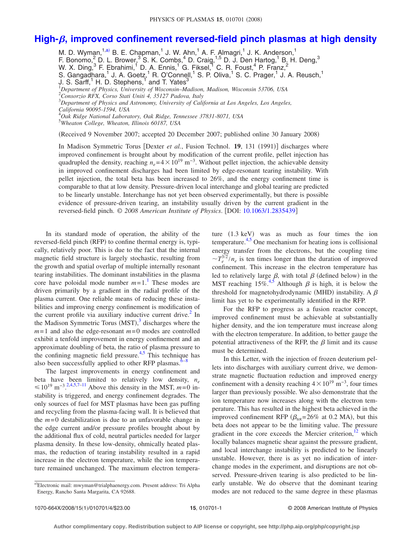## **High-[, improved confinement reversed-field pinch plasmas at high density](http://dx.doi.org/10.1063/1.2835439)**

M. D. Wyman,  $1, a)$  B. E. Chapman,  $1$  J. W. Ahn,  $1$  A. F. Almagri,  $1$  J. K. Anderson,  $1$ F. Bonomo,<sup>2</sup> D. L. Brower,<sup>3</sup> S. K. Combs,<sup>4</sup> D. Craig,<sup>1,5</sup> D. J. Den Hartog,<sup>1</sup> B. H. Deng,<sup>3</sup> W. X. Ding, <sup>3</sup> F. Ebrahimi, <sup>1</sup> D. A. Ennis, <sup>1</sup> G. Fiksel, <sup>1</sup> C. R. Foust, <sup>4</sup> P. Franz, <sup>2</sup> S. Gangadhara,<sup>1</sup> J. A. Goetz,<sup>1</sup> R. O'Connell,<sup>1</sup> S. P. Oliva,<sup>1</sup> S. C. Prager,<sup>1</sup> J. A. Reusch,<sup>1</sup> J. S. Sarff,<sup>1</sup> H. D. Stephens,<sup>1</sup> and T. Yates<sup>3</sup> <sup>1</sup>Department of Physics, University of Wisconsin–Madison, Madison, Wisconsin 53706, USA<br><sup>2</sup>Conservic REX, Corse Stati Uniti A, 25127 Badova, Italy *Consorzio RFX, Corso Stati Uniti 4, 35127 Padova, Italy* 3 *Department of Physics and Astronomy, University of California at Los Angeles, Los Angeles, California 90095-1594, USA* 4 *Oak Ridge National Laboratory, Oak Ridge, Tennessee 37831-8071, USA* 5 *Wheaton College, Wheaton, Illinois 60187, USA* Received 9 November 2007; accepted 20 December 2007; published online 30 January 2008-

In Madison Symmetric Torus [Dexter et al., Fusion Technol. 19, 131 (1991)] discharges where improved confinement is brought about by modification of the current profile, pellet injection has quadrupled the density, reaching  $n_e$ = 4 × 10<sup>19</sup> m<sup>-3</sup>. Without pellet injection, the achievable density in improved confinement discharges had been limited by edge-resonant tearing instability. With pellet injection, the total beta has been increased to 26%, and the energy confinement time is comparable to that at low density. Pressure-driven local interchange and global tearing are predicted to be linearly unstable. Interchange has not yet been observed experimentally, but there is possible evidence of pressure-driven tearing, an instability usually driven by the current gradient in the reversed-field pinch. © *2008 American Institute of Physics*. DOI: [10.1063/1.2835439](http://dx.doi.org/10.1063/1.2835439)

In its standard mode of operation, the ability of the reversed-field pinch (RFP) to confine thermal energy is, typically, relatively poor. This is due to the fact that the internal magnetic field structure is largely stochastic, resulting from the growth and spatial overlap of multiple internally resonant tearing instabilities. The dominant instabilities in the plasma core have poloidal mode number  $m=1$  $m=1$ .<sup>1</sup> These modes are driven primarily by a gradient in the radial profile of the plasma current. One reliable means of reducing these instabilities and improving energy confinement is modification of the current profile via auxiliary inductive current drive. $^{2}$  In the Madison Symmetric Torus (MST),<sup>[3](#page-3-2)</sup> discharges where the  $m=1$  and also the edge-resonant  $m=0$  modes are controlled exhibit a tenfold improvement in energy confinement and an approximate doubling of beta, the ratio of plasma pressure to the confining magnetic field pressure.<sup>4,[5](#page-3-4)</sup> This technique has also been successfully applied to other RFP plasmas. $6-8$ 

The largest improvements in energy confinement and beta have been limited to relatively low density, *ne*  $\leq 10^{19}$  m<sup>-3.[2](#page-3-1)[,4](#page-3-3)[,5](#page-3-4)[,7](#page-3-6)[–11](#page-3-7)</sup> Above this density in the MST, *m*=0 instability is triggered, and energy confinement degrades. The only sources of fuel for MST plasmas have been gas puffing and recycling from the plasma-facing wall. It is believed that the  $m=0$  destabilization is due to an unfavorable change in the edge current and/or pressure profiles brought about by the additional flux of cold, neutral particles needed for larger plasma density. In these low-density, ohmically heated plasmas, the reduction of tearing instability resulted in a rapid increase in the electron temperature, while the ion temperature remained unchanged. The maximum electron tempera-

ture (1.3 keV) was as much as four times the ion temperature. $4.5$  $4.5$  One mechanism for heating ions is collisional energy transfer from the electrons, but the coupling time  $\sim T_e^{3/2}/n_e$  is ten times longer than the duration of improved confinement. This increase in the electron temperature has led to relatively large  $\beta$ , with total  $\beta$  (defined below) in the MST reaching 1[5](#page-3-4)%.<sup>4,5</sup> Although  $\beta$  is high, it is below the threshold for magnetohydrodynamic (MHD) instability. A  $\beta$ limit has yet to be experimentally identified in the RFP.

For the RFP to progress as a fusion reactor concept, improved confinement must be achievable at substantially higher density, and the ion temperature must increase along with the electron temperature. In addition, to better gauge the potential attractiveness of the RFP, the  $\beta$  limit and its cause must be determined.

In this Letter, with the injection of frozen deuterium pellets into discharges with auxiliary current drive, we demonstrate magnetic fluctuation reduction and improved energy confinement with a density reaching  $4 \times 10^{19}$  m<sup>-3</sup>, four times larger than previously possible. We also demonstrate that the ion temperature now increases along with the electron temperature. This has resulted in the highest beta achieved in the improved confinement RFP ( $\beta_{\text{tot}}$ =26% at 0.2 MA), but this beta does not appear to be the limiting value. The pressure gradient in the core exceeds the Mercier criterion, $12$  which locally balances magnetic shear against the pressure gradient, and local interchange instability is predicted to be linearly unstable. However, there is as yet no indication of interchange modes in the experiment, and disruptions are not observed. Pressure-driven tearing is also predicted to be linearly unstable. We do observe that the dominant tearing modes are not reduced to the same degree in these plasmas

<span id="page-0-0"></span>a)Electronic mail: mwyman@trialphaenergy.com. Present address: Tri Alpha Energy, Rancho Santa Margarita, CA 92688.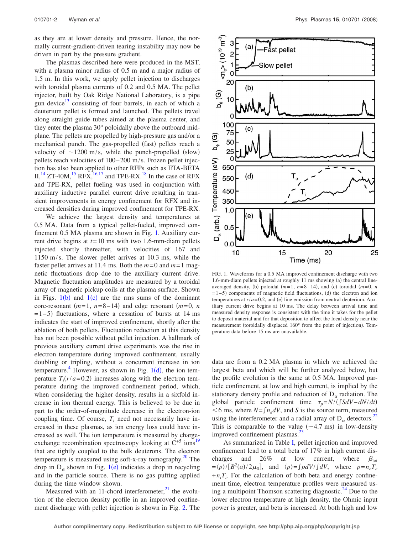as they are at lower density and pressure. Hence, the normally current-gradient-driven tearing instability may now be driven in part by the pressure gradient.

The plasmas described here were produced in the MST, with a plasma minor radius of 0.5 m and a major radius of 1.5 m. In this work, we apply pellet injection to discharges with toroidal plasma currents of 0.2 and 0.5 MA. The pellet injector, built by Oak Ridge National Laboratory, is a pipe gun device $13$  consisting of four barrels, in each of which a deuterium pellet is formed and launched. The pellets travel along straight guide tubes aimed at the plasma center, and they enter the plasma 30° poloidally above the outboard midplane. The pellets are propelled by high-pressure gas and/or a mechanical punch. The gas-propelled (fast) pellets reach a velocity of  $\sim$ 1200 m/s, while the punch-propelled (slow) pellets reach velocities of 100– 200 m/s. Frozen pellet injection has also been applied to other RFPs such as ETA-BETA  $II$ ,<sup>[14](#page-3-10)</sup> ZT-40M,<sup>15</sup> RFX,<sup>16[,17](#page-3-13)</sup> and TPE-RX.<sup>18</sup> In the case of RFX and TPE-RX, pellet fueling was used in conjunction with auxiliary inductive parallel current drive resulting in transient improvements in energy confinement for RFX and increased densities during improved confinement for TPE-RX.

We achieve the largest density and temperatures at 0.5 MA. Data from a typical pellet-fueled, improved confinement 0.5 MA plasma are shown in Fig. [1.](#page-1-0) Auxiliary current drive begins at  $t = 10$  ms with two 1.6-mm-diam pellets injected shortly thereafter, with velocities of 167 and 1150 m/s. The slower pellet arrives at 10.3 ms, while the faster pellet arrives at 11.4 ms. Both the  $m=0$  and  $m=1$  magnetic fluctuations drop due to the auxiliary current drive. Magnetic fluctuation amplitudes are measured by a toroidal array of magnetic pickup coils at the plasma surface. Shown in Figs.  $1(b)$  $1(b)$  and  $1(c)$  are the rms sums of the dominant core-resonant  $(m=1, n=8-14)$  and edge resonant  $(m=0, n$  $=1-5$ ) fluctuations, where a cessation of bursts at 14 ms indicates the start of improved confinement, shortly after the ablation of both pellets. Fluctuation reduction at this density has not been possible without pellet injection. A hallmark of previous auxiliary current drive experiments was the rise in electron temperature during improved confinement, usually doubling or tripling, without a concurrent increase in ion temperature.<sup>4</sup> However, as shown in Fig.  $1(d)$  $1(d)$ , the ion temperature  $T_i(r/a=0.2)$  increases along with the electron temperature during the improved confinement period, which, when considering the higher density, results in a sixfold increase in ion thermal energy. This is believed to be due in part to the order-of-magnitude decrease in the electron-ion coupling time. Of course,  $T_i$  need not necessarily have increased in these plasmas, as ion energy loss could have increased as well. The ion temperature is measured by chargeexchange recombination spectroscopy looking at  $C^{+5}$  ions<sup>19</sup> that are tightly coupled to the bulk deuterons. The electron temperature is measured using soft-x-ray tomography. $^{20}$  The drop in  $D_{\alpha}$  shown in Fig. [1](#page-1-0)(e) indicates a drop in recycling and in the particle source. There is no gas puffing applied during the time window shown.

Measured with an 11-chord interferometer, $^{21}$  the evolution of the electron density profile in an improved confinement discharge with pellet injection is shown in Fig. [2.](#page-2-0) The

<span id="page-1-0"></span>

FIG. 1. Waveforms for a 0.5 MA improved confinement discharge with two 1.6-mm-diam pellets injected at roughly 11 ms showing (a) the central lineaveraged density, (b) poloidal  $(m=1, n=8-14)$ , and (c) toroidal  $(m=0, n$  $= 1-5$ ) components of magnetic field fluctuations, (d) the electron and ion temperatures at  $r/a = 0.2$ , and (e) line emission from neutral deuterium. Auxiliary current drive begins at 10 ms. The delay between arrival time and measured density response is consistent with the time it takes for the pellet to deposit material and for that deposition to affect the local density near the measurement (toroidally displaced 160° from the point of injection). Temperature data before 15 ms are unavailable.

data are from a 0.2 MA plasma in which we achieved the largest beta and which will be further analyzed below, but the profile evolution is the same at 0.5 MA. Improved particle confinement, at low and high current, is implied by the stationary density profile and reduction of  $D_{\alpha}$  radiation. The global particle confinement time  $\tau_p = N/(\int S dV - dN/dt)$  $<$  6 ms, where *N*= $\int n_e dV$ , and *S* is the source term, measured using the interferometer and a radial array of  $D_{\alpha}$  detectors.<sup>22</sup> This is comparable to the value  $(\sim 4.7 \text{ ms})$  in low-density improved confinement plasmas.<sup>2</sup>

As summarized in Table [I,](#page-2-1) pellet injection and improved confinement lead to a total beta of 17% in high current discharges and 26% at low current, where  $\beta_{\text{tot}}$  $=$   $\langle p \rangle / [B^2(a)/2\mu_0]$ , and  $\langle p \rangle = \int pdV / \int dV$ , where  $p = n_e T_e$  $+n_i T_i$ . For the calculation of both beta and energy confinement time, electron temperature profiles were measured using a multipoint Thomson scattering diagnostic. $^{24}$  Due to the lower electron temperature at high density, the Ohmic input power is greater, and beta is increased. At both high and low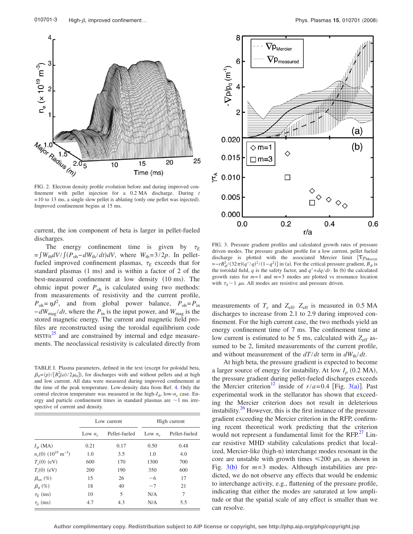<span id="page-2-0"></span>

FIG. 2. Electron density profile evolution before and during improved confinement with pellet injection for a 0.2 MA discharge. During *t*  $= 10$  to 13 ms, a single slow pellet is ablating (only one pellet was injected). Improved confinement begins at 15 ms.

current, the ion component of beta is larger in pellet-fueled discharges.

The energy confinement time is given by  $\tau_F$  $=\int W_{th} dV / \int (P_{oh} - dW_{th}/dt) dV$ , where  $W_{th} = 3/2p$ . In pelletfueled improved confinement plasmas,  $\tau_F$  exceeds that for standard plasmas  $(1 \text{ ms})$  and is within a factor of 2 of the best-measured confinement at low density (10 ms). The ohmic input power  $P_{oh}$  is calculated using two methods: from measurements of resistivity and the current profile,  $P_{\text{oh}} = \eta J^2$ , and from global power balance,  $P_{\text{oh}} = P_{\text{in}}$  $-dW_{\text{mag}}/dt$ , where the  $P_{\text{in}}$  is the input power, and  $W_{\text{mag}}$  is the stored magnetic energy. The current and magnetic field profiles are reconstructed using the toroidal equilibrium code  $MSTFit<sup>25</sup>$  $MSTFit<sup>25</sup>$  $MSTFit<sup>25</sup>$  and are constrained by internal and edge measurements. The neoclassical resistivity is calculated directly from

<span id="page-2-1"></span>TABLE I. Plasma parameters, defined in the text (except for poloidal beta,  $\beta_{\theta} = \langle p \rangle / [B_{\theta}^2(a)/2\mu_0]$ , for discharges with and without pellets and at high and low current. All data were measured during improved confinement at the time of the peak temperature. Low-density data from Ref. [4.](#page-3-3) Only the central electron temperature was measured in the high-*I* , low-*ne* case. Energy and particle confinement times in standard plasmas are  $\sim$  1 ms irrespective of current and density.

|                                              | Low current |               | High current |               |
|----------------------------------------------|-------------|---------------|--------------|---------------|
|                                              | Low $n_e$   | Pellet-fueled | Low $n_e$    | Pellet-fueled |
| $I_{\phi}$ (MA)                              | 0.21        | 0.17          | 0.50         | 0.48          |
| $n_e(0)$ (10 <sup>19</sup> m <sup>-3</sup> ) | 1.0         | 3.5           | 1.0          | 4.0           |
| $T_e(0)$ (eV)                                | 600         | 170           | 1300         | 700           |
| $T_i(0)$ (eV)                                | 200         | 190           | 350          | 600           |
| $\beta_{\rm tot}$ (%)                        | 15          | 26            | ~1           | 17            |
| $\beta_{\theta}$ (%)                         | 18          | 40            | ~1           | 21            |
| $\tau_F$ (ms)                                | 10          | 5             | N/A          | 7             |
| $\tau_p$ (ms)                                | 4.7         | 4.3           | N/A          | 5.5           |

<span id="page-2-2"></span>

FIG. 3. Pressure gradient profiles and calculated growth rates of pressure driven modes. The pressure gradient profile for a low current, pellet fueled discharge is plotted with the associated Mercier limit  $[\nabla p_{\text{Mercier}}]$  $=-rB_{\phi}^{2}/(32\pi)(q'/q)^{2}/(1-q^{2})$ ] in (a). For the critical pressure gradient, *B*<sub> $\phi$ </sub> is the toroidal field, *q* is the safety factor, and  $q' = dq/dr$ . In (b) the calculated growth rates for  $m=1$  and  $m=3$  modes are plotted vs resonance location with  $\tau_A \sim 1$   $\mu$ s. All modes are resistive and pressure driven.

measurements of  $T_e$  and  $Z_{\text{eff}}$ .  $Z_{\text{eff}}$  is measured in 0.5 MA discharges to increase from 2.1 to 2.9 during improved confinement. For the high current case, the two methods yield an energy confinement time of 7 ms. The confinement time at low current is estimated to be 5 ms, calculated with  $Z_{\text{eff}}$  assumed to be 2, limited measurements of the current profile, and without measurement of the  $dT/dt$  term in  $dW_{th}/dt$ .

At high beta, the pressure gradient is expected to become a larger source of energy for instability. At low  $I_p$  (0.2 MA), the pressure gradient during pellet-fueled discharges exceeds the Mercier criterion<sup>12</sup> inside of  $r/a = 0.4$  [Fig. [3](#page-2-2)(a)]. Past experimental work in the stellarator has shown that exceeding the Mercier criterion does not result in deleterious instability.<sup>26</sup> However, this is the first instance of the pressure gradient exceeding the Mercier criterion in the RFP, confirming recent theoretical work predicting that the criterion would not represent a fundamental limit for the  $RFP<sup>27</sup>$  Linear resistive MHD stability calculations predict that localized, Mercier-like (high-n) interchange modes resonant in the core are unstable with growth times  $\leq 200 \mu s$ , as shown in Fig.  $3(b)$  $3(b)$  for  $m=3$  modes. Although instabilities are predicted, we do not observe any effects that would be endemic to interchange activity, e.g., flattening of the pressure profile, indicating that either the modes are saturated at low amplitude or that the spatial scale of any effect is smaller than we can resolve.